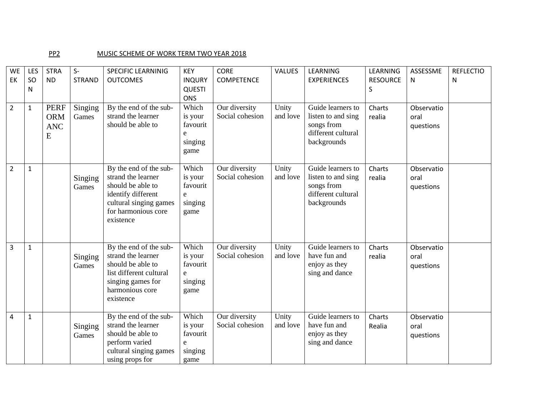## PP2 MUSIC SCHEME OF WORK TERM TWO YEAR 2018

| <b>WE</b>      | LES          | <b>STRA</b>                                  | $S-$             | <b>SPECIFIC LEARNINIG</b>                                                                                                                             | <b>KEY</b>                                           | <b>CORE</b>                      | <b>VALUES</b>     | LEARNING                                                                                   | LEARNING             | ASSESSME                        | <b>REFLECTIO</b> |
|----------------|--------------|----------------------------------------------|------------------|-------------------------------------------------------------------------------------------------------------------------------------------------------|------------------------------------------------------|----------------------------------|-------------------|--------------------------------------------------------------------------------------------|----------------------|---------------------------------|------------------|
| EK             | SO<br>N      | <b>ND</b>                                    | <b>STRAND</b>    | <b>OUTCOMES</b>                                                                                                                                       | <b>INQURY</b><br><b>QUESTI</b><br><b>ONS</b>         | <b>COMPETENCE</b>                |                   | <b>EXPERIENCES</b>                                                                         | <b>RESOURCE</b><br>S | N                               | N                |
| $\overline{2}$ | $\mathbf{1}$ | <b>PERF</b><br><b>ORM</b><br><b>ANC</b><br>E | Singing<br>Games | By the end of the sub-<br>strand the learner<br>should be able to                                                                                     | Which<br>is your<br>favourit<br>e<br>singing<br>game | Our diversity<br>Social cohesion | Unity<br>and love | Guide learners to<br>listen to and sing<br>songs from<br>different cultural<br>backgrounds | Charts<br>realia     | Observatio<br>oral<br>questions |                  |
| $\overline{2}$ | $\mathbf{1}$ |                                              | Singing<br>Games | By the end of the sub-<br>strand the learner<br>should be able to<br>identify different<br>cultural singing games<br>for harmonious core<br>existence | Which<br>is your<br>favourit<br>e<br>singing<br>game | Our diversity<br>Social cohesion | Unity<br>and love | Guide learners to<br>listen to and sing<br>songs from<br>different cultural<br>backgrounds | Charts<br>realia     | Observatio<br>oral<br>questions |                  |
| 3              | $\mathbf{1}$ |                                              | Singing<br>Games | By the end of the sub-<br>strand the learner<br>should be able to<br>list different cultural<br>singing games for<br>harmonious core<br>existence     | Which<br>is your<br>favourit<br>e<br>singing<br>game | Our diversity<br>Social cohesion | Unity<br>and love | Guide learners to<br>have fun and<br>enjoy as they<br>sing and dance                       | Charts<br>realia     | Observatio<br>oral<br>questions |                  |
| $\overline{4}$ | $\mathbf{1}$ |                                              | Singing<br>Games | By the end of the sub-<br>strand the learner<br>should be able to<br>perform varied<br>cultural singing games<br>using props for                      | Which<br>is your<br>favourit<br>e<br>singing<br>game | Our diversity<br>Social cohesion | Unity<br>and love | Guide learners to<br>have fun and<br>enjoy as they<br>sing and dance                       | Charts<br>Realia     | Observatio<br>oral<br>questions |                  |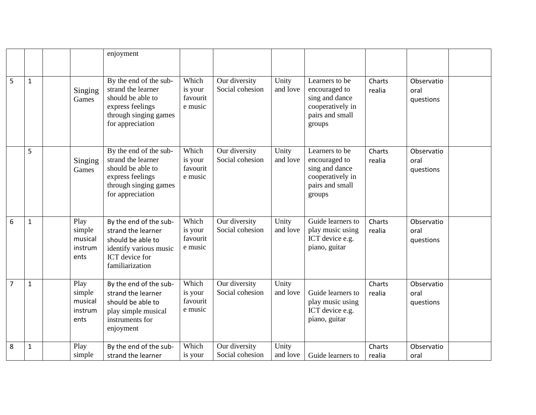|                |              |                                              | enjoyment                                                                                                                               |                                         |                                  |                   |                                                                                                    |                  |                                 |  |
|----------------|--------------|----------------------------------------------|-----------------------------------------------------------------------------------------------------------------------------------------|-----------------------------------------|----------------------------------|-------------------|----------------------------------------------------------------------------------------------------|------------------|---------------------------------|--|
|                | $\mathbf{1}$ | Singing<br>Games                             | By the end of the sub-<br>strand the learner<br>should be able to<br>express feelings<br>through singing games<br>for appreciation      | Which<br>is your<br>favourit<br>e music | Our diversity<br>Social cohesion | Unity<br>and love | Learners to be<br>encouraged to<br>sing and dance<br>cooperatively in<br>pairs and small<br>groups | Charts<br>realia | Observatio<br>oral<br>questions |  |
|                | 5            | Singing<br>Games                             | By the end of the sub-<br>strand the learner<br>should be able to<br>express feelings<br>through singing games<br>for appreciation      | Which<br>is your<br>favourit<br>e music | Our diversity<br>Social cohesion | Unity<br>and love | Learners to be<br>encouraged to<br>sing and dance<br>cooperatively in<br>pairs and small<br>groups | Charts<br>realia | Observatio<br>oral<br>questions |  |
| 6              | $\mathbf{1}$ | Play<br>simple<br>musical<br>instrum<br>ents | By the end of the sub-<br>strand the learner<br>should be able to<br>identify various music<br><b>ICT</b> device for<br>familiarization | Which<br>is your<br>favourit<br>e music | Our diversity<br>Social cohesion | Unity<br>and love | Guide learners to<br>play music using<br>ICT device e.g.<br>piano, guitar                          | Charts<br>realia | Observatio<br>oral<br>questions |  |
| $\overline{7}$ | $\mathbf 1$  | Play<br>simple<br>musical<br>instrum<br>ents | By the end of the sub-<br>strand the learner<br>should be able to<br>play simple musical<br>instruments for<br>enjoyment                | Which<br>is your<br>favourit<br>e music | Our diversity<br>Social cohesion | Unity<br>and love | Guide learners to<br>play music using<br>ICT device e.g.<br>piano, guitar                          | Charts<br>realia | Observatio<br>oral<br>questions |  |
| 8              | $\mathbf{1}$ | Play<br>simple                               | By the end of the sub-<br>strand the learner                                                                                            | Which<br>is your                        | Our diversity<br>Social cohesion | Unity<br>and love | Guide learners to                                                                                  | Charts<br>realia | Observatio<br>oral              |  |
|                |              |                                              |                                                                                                                                         |                                         |                                  |                   |                                                                                                    |                  |                                 |  |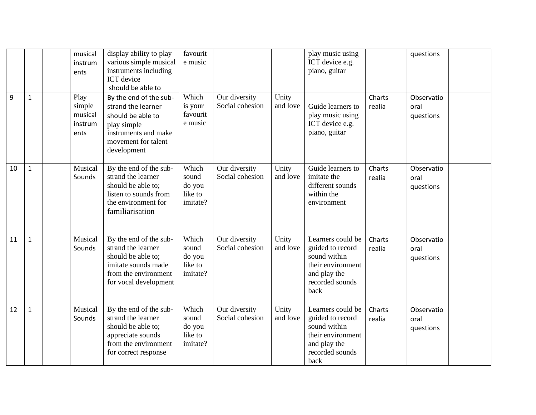| 9  | $\mathbf{1}$ | musical<br>instrum<br>ents<br>Play<br>simple<br>musical<br>instrum<br>ents | display ability to play<br>various simple musical<br>instruments including<br><b>ICT</b> device<br>should be able to<br>By the end of the sub-<br>strand the learner<br>should be able to<br>play simple<br>instruments and make | favourit<br>e music<br>Which<br>is your<br>favourit<br>e music | Our diversity<br>Social cohesion | Unity<br>and love | play music using<br>ICT device e.g.<br>piano, guitar<br>Guide learners to<br>play music using<br>ICT device e.g.<br>piano, guitar | Charts<br>realia | questions<br>Observatio<br>oral<br>questions |  |
|----|--------------|----------------------------------------------------------------------------|----------------------------------------------------------------------------------------------------------------------------------------------------------------------------------------------------------------------------------|----------------------------------------------------------------|----------------------------------|-------------------|-----------------------------------------------------------------------------------------------------------------------------------|------------------|----------------------------------------------|--|
|    |              |                                                                            | movement for talent<br>development                                                                                                                                                                                               |                                                                |                                  |                   |                                                                                                                                   |                  |                                              |  |
| 10 | $\mathbf{1}$ | Musical<br>Sounds                                                          | By the end of the sub-<br>strand the learner<br>should be able to;<br>listen to sounds from<br>the environment for<br>familiarisation                                                                                            | Which<br>sound<br>do you<br>like to<br>imitate?                | Our diversity<br>Social cohesion | Unity<br>and love | Guide learners to<br>imitate the<br>different sounds<br>within the<br>environment                                                 | Charts<br>realia | Observatio<br>oral<br>questions              |  |
| 11 | $\mathbf 1$  | Musical<br>Sounds                                                          | By the end of the sub-<br>strand the learner<br>should be able to;<br>imitate sounds made<br>from the environment<br>for vocal development                                                                                       | Which<br>sound<br>do you<br>like to<br>imitate?                | Our diversity<br>Social cohesion | Unity<br>and love | Learners could be<br>guided to record<br>sound within<br>their environment<br>and play the<br>recorded sounds<br>back             | Charts<br>realia | Observatio<br>oral<br>questions              |  |
| 12 | $\mathbf{1}$ | Musical<br>Sounds                                                          | By the end of the sub-<br>strand the learner<br>should be able to;<br>appreciate sounds<br>from the environment<br>for correct response                                                                                          | Which<br>sound<br>do you<br>like to<br>imitate?                | Our diversity<br>Social cohesion | Unity<br>and love | Learners could be<br>guided to record<br>sound within<br>their environment<br>and play the<br>recorded sounds<br>back             | Charts<br>realia | Observatio<br>oral<br>questions              |  |